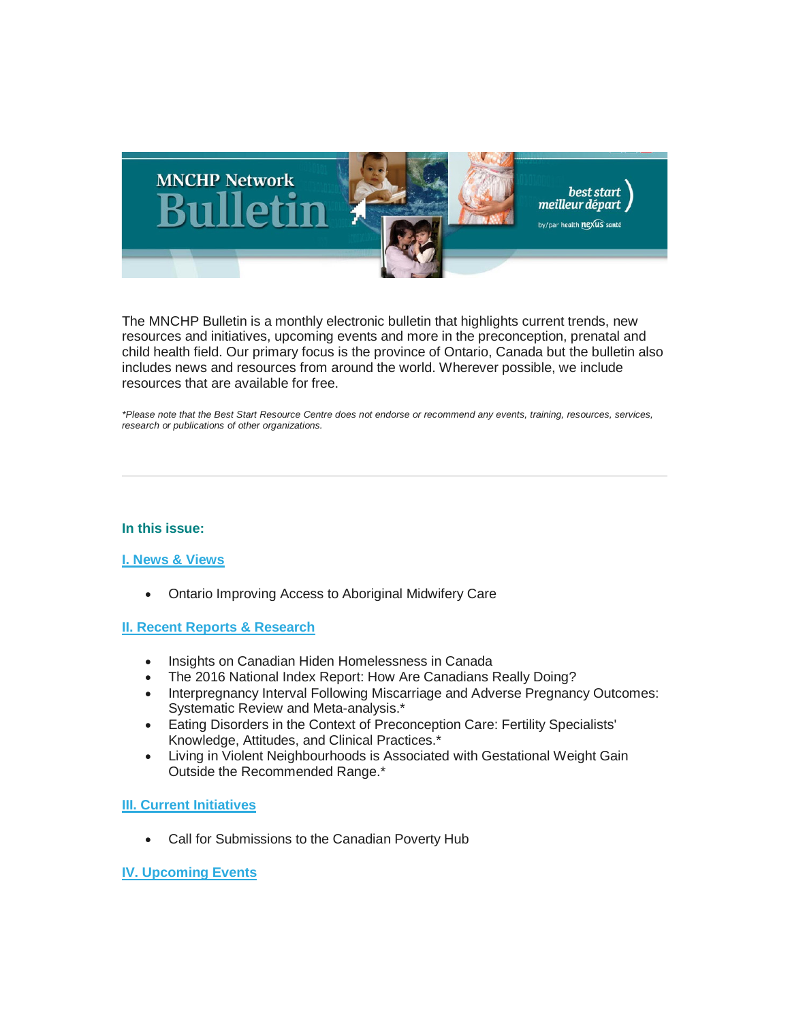

The MNCHP Bulletin is a monthly electronic bulletin that highlights current trends, new resources and initiatives, upcoming events and more in the preconception, prenatal and child health field. Our primary focus is the province of Ontario, Canada but the bulletin also includes news and resources from around the world. Wherever possible, we include resources that are available for free.

*\*Please note that the Best Start Resource Centre does not endorse or recommend any events, training, resources, services, research or publications of other organizations.*

# **In this issue:**

# **[I. News & Views](#page-1-0)**

• Ontario Improving Access to Aboriginal Midwifery Care

# **[II. Recent Reports & Research](#page-2-0)**

- Insights on Canadian Hiden Homelessness in Canada
- The 2016 National Index Report: How Are Canadians Really Doing?
- Interpregnancy Interval Following Miscarriage and Adverse Pregnancy Outcomes: Systematic Review and Meta-analysis.\*
- Eating Disorders in the Context of Preconception Care: Fertility Specialists' Knowledge, Attitudes, and Clinical Practices.\*
- Living in Violent Neighbourhoods is Associated with Gestational Weight Gain Outside the Recommended Range.\*

# **[III. Current Initiatives](#page-5-0)**

• Call for Submissions to the Canadian Poverty Hub

# **[IV. Upcoming Events](#page-5-1)**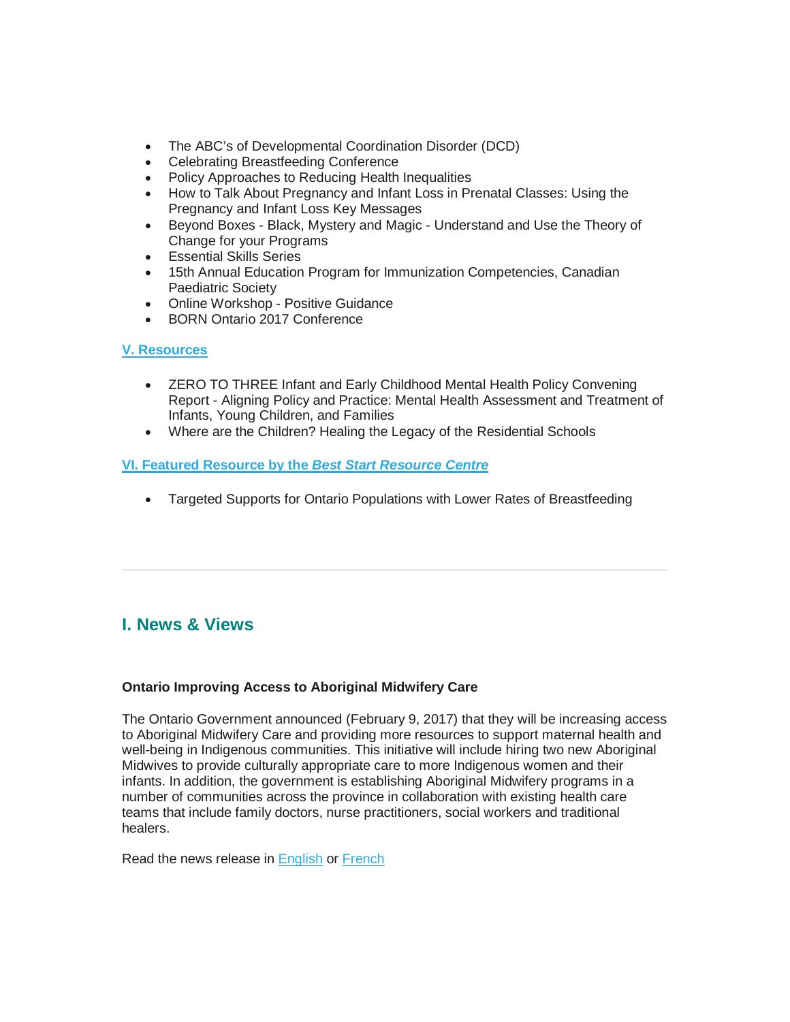- The ABC's of Developmental Coordination Disorder (DCD)
- Celebrating Breastfeeding Conference
- Policy Approaches to Reducing Health Inequalities
- How to Talk About Pregnancy and Infant Loss in Prenatal Classes: Using the Pregnancy and Infant Loss Key Messages
- Beyond Boxes Black, Mystery and Magic Understand and Use the Theory of Change for your Programs
- Essential Skills Series
- 15th Annual Education Program for Immunization Competencies, Canadian Paediatric Society
- Online Workshop Positive Guidance
- BORN Ontario 2017 Conference

# **[V. Resources](#page-8-0)**

- ZERO TO THREE Infant and Early Childhood Mental Health Policy Convening Report - Aligning Policy and Practice: Mental Health Assessment and Treatment of Infants, Young Children, and Families
- Where are the Children? Healing the Legacy of the Residential Schools

# **[VI. Featured Resource by the](#page-8-1)** *Best Start Resource Centre*

• Targeted Supports for Ontario Populations with Lower Rates of Breastfeeding

# <span id="page-1-0"></span>**I. News & Views**

# **Ontario Improving Access to Aboriginal Midwifery Care**

The Ontario Government announced (February 9, 2017) that they will be increasing access to Aboriginal Midwifery Care and providing more resources to support maternal health and well-being in Indigenous communities. This initiative will include hiring two new Aboriginal Midwives to provide culturally appropriate care to more Indigenous women and their infants. In addition, the government is establishing Aboriginal Midwifery programs in a number of communities across the province in collaboration with existing health care teams that include family doctors, nurse practitioners, social workers and traditional healers.

Read the news release in [English](https://news.ontario.ca/mohltc/en/2017/02/ontario-improving-access-to-aboriginal-midwifery-care.html) or [French](https://news.ontario.ca/mohltc/fr/2017/02/lontario-ameliore-lacces-aux-soins-de-sages-femmes-autochtones.html)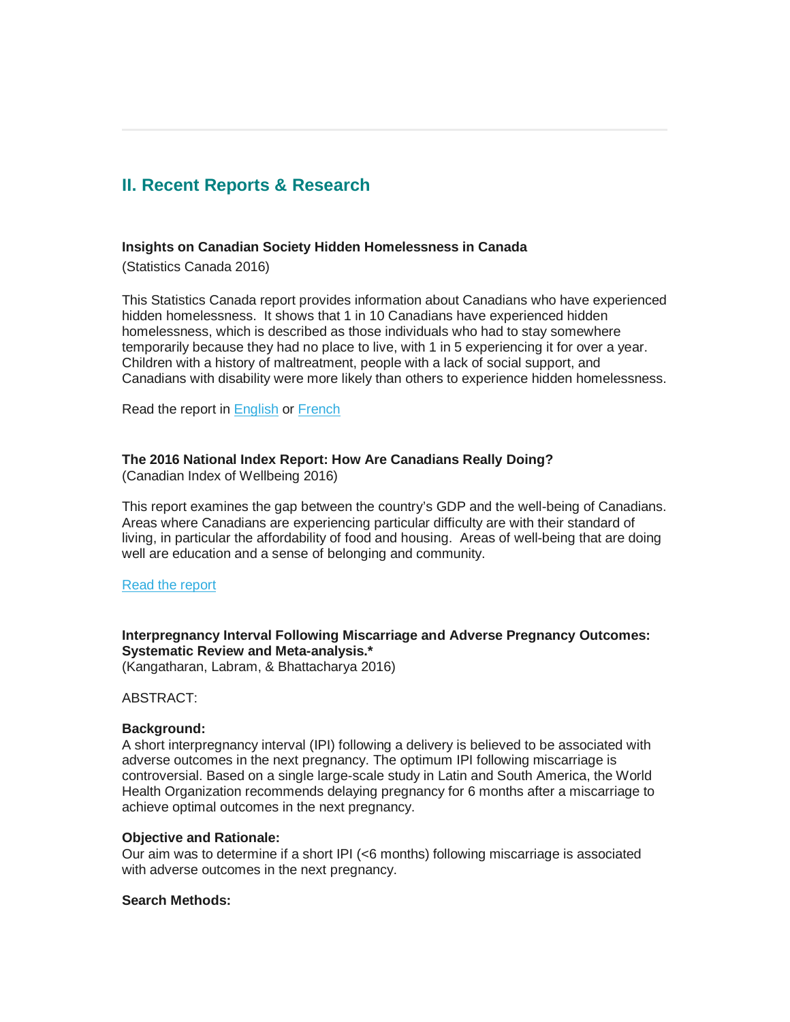# <span id="page-2-0"></span>**II. Recent Reports & Research**

#### **Insights on Canadian Society Hidden Homelessness in Canada**

(Statistics Canada 2016)

This Statistics Canada report provides information about Canadians who have experienced hidden homelessness. It shows that 1 in 10 Canadians have experienced hidden homelessness, which is described as those individuals who had to stay somewhere temporarily because they had no place to live, with 1 in 5 experiencing it for over a year. Children with a history of maltreatment, people with a lack of social support, and Canadians with disability were more likely than others to experience hidden homelessness.

Read the report in [English](http://www.statcan.gc.ca/pub/75-006-x/2016001/article/14678-eng.htm) or [French](http://www.statcan.gc.ca/pub/75-006-x/2016001/article/14678-fra.htm)

### **The 2016 National Index Report: How Are Canadians Really Doing?**

(Canadian Index of Wellbeing 2016)

This report examines the gap between the country's GDP and the well-being of Canadians. Areas where Canadians are experiencing particular difficulty are with their standard of living, in particular the affordability of food and housing. Areas of well-being that are doing well are education and a sense of belonging and community.

#### [Read the report](https://uwaterloo.ca/canadian-index-wellbeing/reports/2016-canadian-index-wellbeing-national-report)

# **Interpregnancy Interval Following Miscarriage and Adverse Pregnancy Outcomes: Systematic Review and Meta-analysis.\***

(Kangatharan, Labram, & Bhattacharya 2016)

ABSTRACT:

#### **Background:**

A short interpregnancy interval (IPI) following a delivery is believed to be associated with adverse outcomes in the next pregnancy. The optimum IPI following miscarriage is controversial. Based on a single large-scale study in Latin and South America, the World Health Organization recommends delaying pregnancy for 6 months after a miscarriage to achieve optimal outcomes in the next pregnancy.

#### **Objective and Rationale:**

Our aim was to determine if a short IPI (<6 months) following miscarriage is associated with adverse outcomes in the next pregnancy.

### **Search Methods:**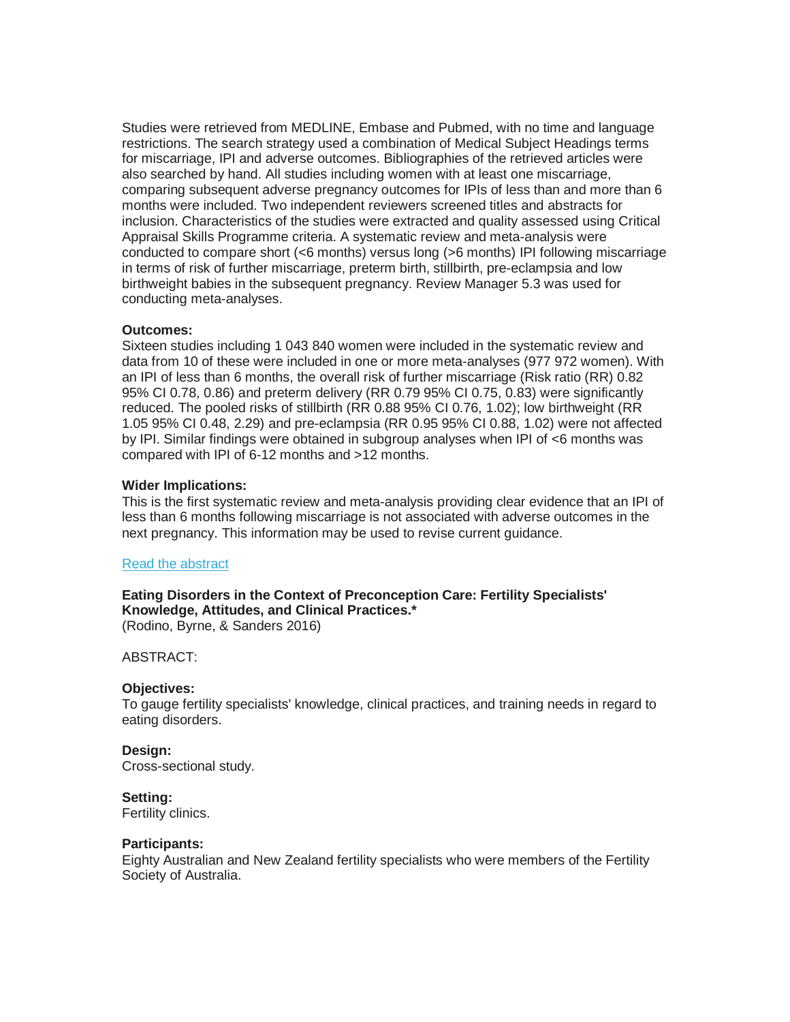Studies were retrieved from MEDLINE, Embase and Pubmed, with no time and language restrictions. The search strategy used a combination of Medical Subject Headings terms for miscarriage, IPI and adverse outcomes. Bibliographies of the retrieved articles were also searched by hand. All studies including women with at least one miscarriage, comparing subsequent adverse pregnancy outcomes for IPIs of less than and more than 6 months were included. Two independent reviewers screened titles and abstracts for inclusion. Characteristics of the studies were extracted and quality assessed using Critical Appraisal Skills Programme criteria. A systematic review and meta-analysis were conducted to compare short (<6 months) versus long (>6 months) IPI following miscarriage in terms of risk of further miscarriage, preterm birth, stillbirth, pre-eclampsia and low birthweight babies in the subsequent pregnancy. Review Manager 5.3 was used for conducting meta-analyses.

### **Outcomes:**

Sixteen studies including 1 043 840 women were included in the systematic review and data from 10 of these were included in one or more meta-analyses (977 972 women). With an IPI of less than 6 months, the overall risk of further miscarriage (Risk ratio (RR) 0.82 95% CI 0.78, 0.86) and preterm delivery (RR 0.79 95% CI 0.75, 0.83) were significantly reduced. The pooled risks of stillbirth (RR 0.88 95% CI 0.76, 1.02); low birthweight (RR 1.05 95% CI 0.48, 2.29) and pre-eclampsia (RR 0.95 95% CI 0.88, 1.02) were not affected by IPI. Similar findings were obtained in subgroup analyses when IPI of <6 months was compared with IPI of 6-12 months and >12 months.

### **Wider Implications:**

This is the first systematic review and meta-analysis providing clear evidence that an IPI of less than 6 months following miscarriage is not associated with adverse outcomes in the next pregnancy. This information may be used to revise current guidance.

#### [Read the abstract](https://www.ncbi.nlm.nih.gov/pubmed/27864302)

# **Eating Disorders in the Context of Preconception Care: Fertility Specialists' Knowledge, Attitudes, and Clinical Practices.\***

(Rodino, Byrne, & Sanders 2016)

# ABSTRACT:

#### **Objectives:**

To gauge fertility specialists' knowledge, clinical practices, and training needs in regard to eating disorders.

#### **Design:**

Cross-sectional study.

#### **Setting:**

Fertility clinics.

#### **Participants:**

Eighty Australian and New Zealand fertility specialists who were members of the Fertility Society of Australia.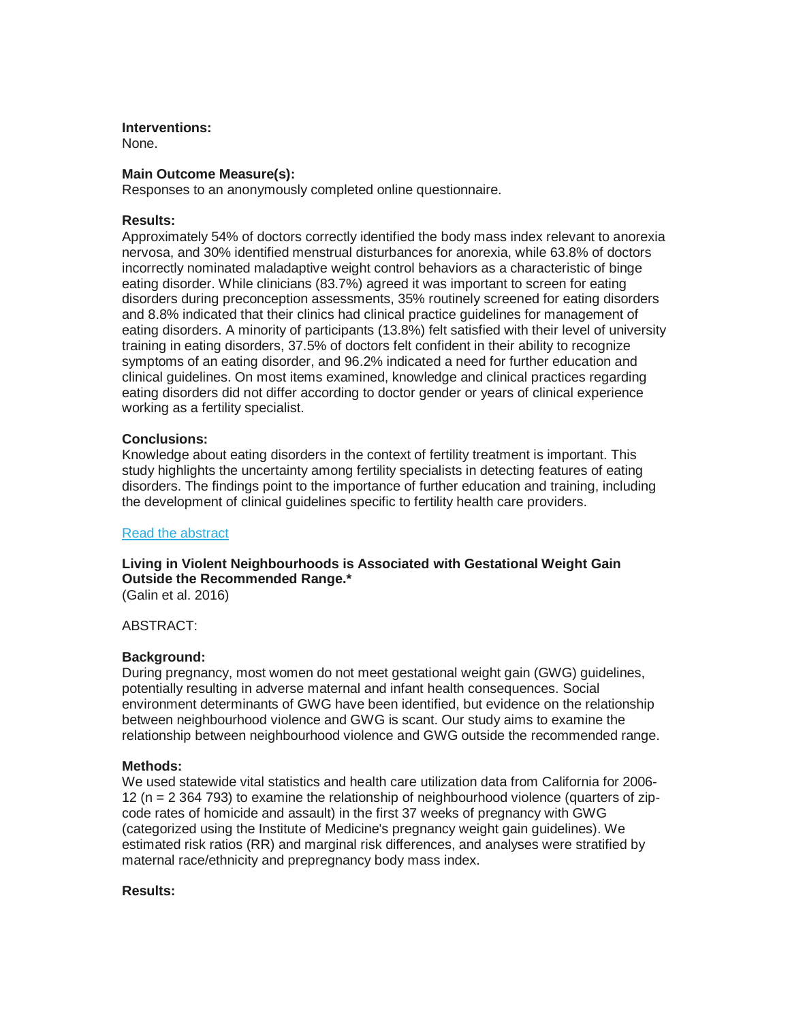**Interventions:**

None.

# **Main Outcome Measure(s):**

Responses to an anonymously completed online questionnaire.

# **Results:**

Approximately 54% of doctors correctly identified the body mass index relevant to anorexia nervosa, and 30% identified menstrual disturbances for anorexia, while 63.8% of doctors incorrectly nominated maladaptive weight control behaviors as a characteristic of binge eating disorder. While clinicians (83.7%) agreed it was important to screen for eating disorders during preconception assessments, 35% routinely screened for eating disorders and 8.8% indicated that their clinics had clinical practice guidelines for management of eating disorders. A minority of participants (13.8%) felt satisfied with their level of university training in eating disorders, 37.5% of doctors felt confident in their ability to recognize symptoms of an eating disorder, and 96.2% indicated a need for further education and clinical guidelines. On most items examined, knowledge and clinical practices regarding eating disorders did not differ according to doctor gender or years of clinical experience working as a fertility specialist.

# **Conclusions:**

Knowledge about eating disorders in the context of fertility treatment is important. This study highlights the uncertainty among fertility specialists in detecting features of eating disorders. The findings point to the importance of further education and training, including the development of clinical guidelines specific to fertility health care providers.

#### [Read the abstract](https://www.ncbi.nlm.nih.gov/pubmed/27889099)

# **Living in Violent Neighbourhoods is Associated with Gestational Weight Gain Outside the Recommended Range.\***

(Galin et al. 2016)

ABSTRACT:

# **Background:**

During pregnancy, most women do not meet gestational weight gain (GWG) guidelines, potentially resulting in adverse maternal and infant health consequences. Social environment determinants of GWG have been identified, but evidence on the relationship between neighbourhood violence and GWG is scant. Our study aims to examine the relationship between neighbourhood violence and GWG outside the recommended range.

# **Methods:**

We used statewide vital statistics and health care utilization data from California for 2006- 12 (n = 2 364 793) to examine the relationship of neighbourhood violence (quarters of zipcode rates of homicide and assault) in the first 37 weeks of pregnancy with GWG (categorized using the Institute of Medicine's pregnancy weight gain guidelines). We estimated risk ratios (RR) and marginal risk differences, and analyses were stratified by maternal race/ethnicity and prepregnancy body mass index.

#### **Results:**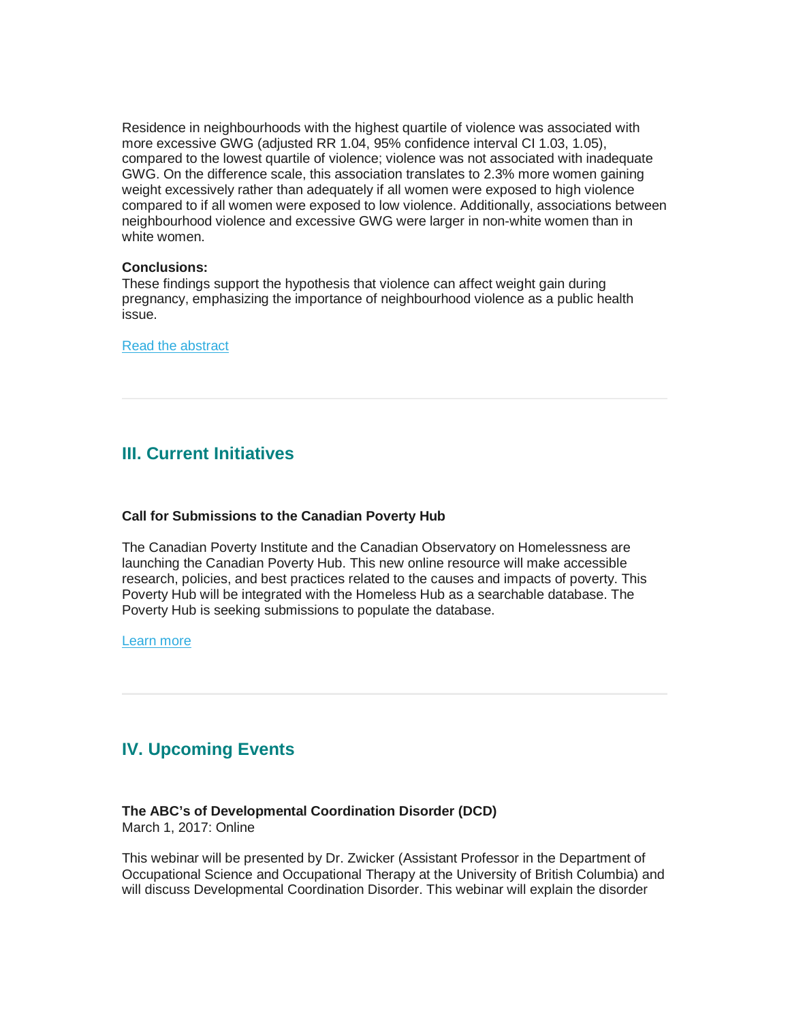Residence in neighbourhoods with the highest quartile of violence was associated with more excessive GWG (adjusted RR 1.04, 95% confidence interval CI 1.03, 1.05), compared to the lowest quartile of violence; violence was not associated with inadequate GWG. On the difference scale, this association translates to 2.3% more women gaining weight excessively rather than adequately if all women were exposed to high violence compared to if all women were exposed to low violence. Additionally, associations between neighbourhood violence and excessive GWG were larger in non-white women than in white women.

#### **Conclusions:**

These findings support the hypothesis that violence can affect weight gain during pregnancy, emphasizing the importance of neighbourhood violence as a public health issue.

[Read the abstract](https://www.ncbi.nlm.nih.gov/pubmed/27921300)

# <span id="page-5-0"></span>**III. Current Initiatives**

# **Call for Submissions to the Canadian Poverty Hub**

The Canadian Poverty Institute and the Canadian Observatory on Homelessness are launching the Canadian Poverty Hub. This new online resource will make accessible research, policies, and best practices related to the causes and impacts of poverty. This Poverty Hub will be integrated with the Homeless Hub as a searchable database. The Poverty Hub is seeking submissions to populate the database.

[Learn more](http://homelesshub.ca/resource/call-submissions-canadian-poverty-hub)

# <span id="page-5-1"></span>**IV. Upcoming Events**

# **The ABC's of Developmental Coordination Disorder (DCD)**

March 1, 2017: Online

This webinar will be presented by Dr. Zwicker (Assistant Professor in the Department of Occupational Science and Occupational Therapy at the University of British Columbia) and will discuss Developmental Coordination Disorder. This webinar will explain the disorder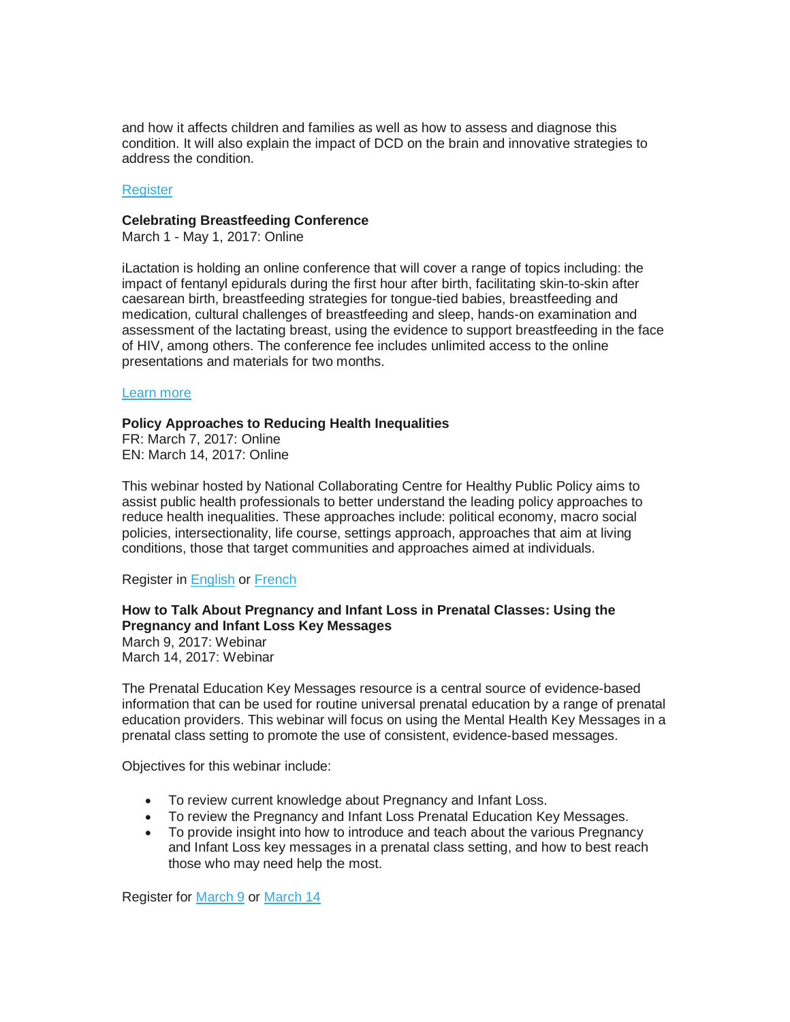and how it affects children and families as well as how to assess and diagnose this condition. It will also explain the impact of DCD on the brain and innovative strategies to address the condition.

#### **[Register](http://ken.caphc.org/xwiki/bin/view/CAPHC+Presents%21/The+ABC%E2%80%99s+of+DCD+%28Developmental+Coordination+Disorder%29)**

#### **Celebrating Breastfeeding Conference**

March 1 - May 1, 2017: Online

iLactation is holding an online conference that will cover a range of topics including: the impact of fentanyl epidurals during the first hour after birth, facilitating skin-to-skin after caesarean birth, breastfeeding strategies for tongue-tied babies, breastfeeding and medication, cultural challenges of breastfeeding and sleep, hands-on examination and assessment of the lactating breast, using the evidence to support breastfeeding in the face of HIV, among others. The conference fee includes unlimited access to the online presentations and materials for two months.

#### [Learn more](http://www.ilactation.com/)

### **Policy Approaches to Reducing Health Inequalities**

FR: March 7, 2017: Online EN: March 14, 2017: Online

This webinar hosted by National Collaborating Centre for Healthy Public Policy aims to assist public health professionals to better understand the leading policy approaches to reduce health inequalities. These approaches include: political economy, macro social policies, intersectionality, life course, settings approach, approaches that aim at living conditions, those that target communities and approaches aimed at individuals.

Register i[n English](http://www.ncchpp.ca/142/Presentations.ccnpps?id_article=1623) or [French](http://www.ccnpps.ca/103/Presentations.ccnpps?id_article=1624)

# **How to Talk About Pregnancy and Infant Loss in Prenatal Classes: Using the Pregnancy and Infant Loss Key Messages**

March 9, 2017: Webinar March 14, 2017: Webinar

The Prenatal Education Key Messages resource is a central source of evidence-based information that can be used for routine universal prenatal education by a range of prenatal education providers. This webinar will focus on using the Mental Health Key Messages in a prenatal class setting to promote the use of consistent, evidence-based messages.

Objectives for this webinar include:

- To review current knowledge about Pregnancy and Infant Loss.
- To review the Pregnancy and Infant Loss Prenatal Education Key Messages.
- To provide insight into how to introduce and teach about the various Pregnancy and Infant Loss key messages in a prenatal class setting, and how to best reach those who may need help the most.

Register for [March 9](https://www.eventbrite.ca/e/webinar-how-to-talk-about-pregnancy-and-infant-loss-in-prenatal-classes-using-the-pregnancy-and-tickets-32173615149?utm_term=eventurl_text) or [March 14](https://www.eventbrite.ca/e/webinar-how-to-talk-about-pregnancy-and-infant-loss-in-prenatal-classes-using-the-pregnancy-and-tickets-32173561990?utm_term=eventurl_text)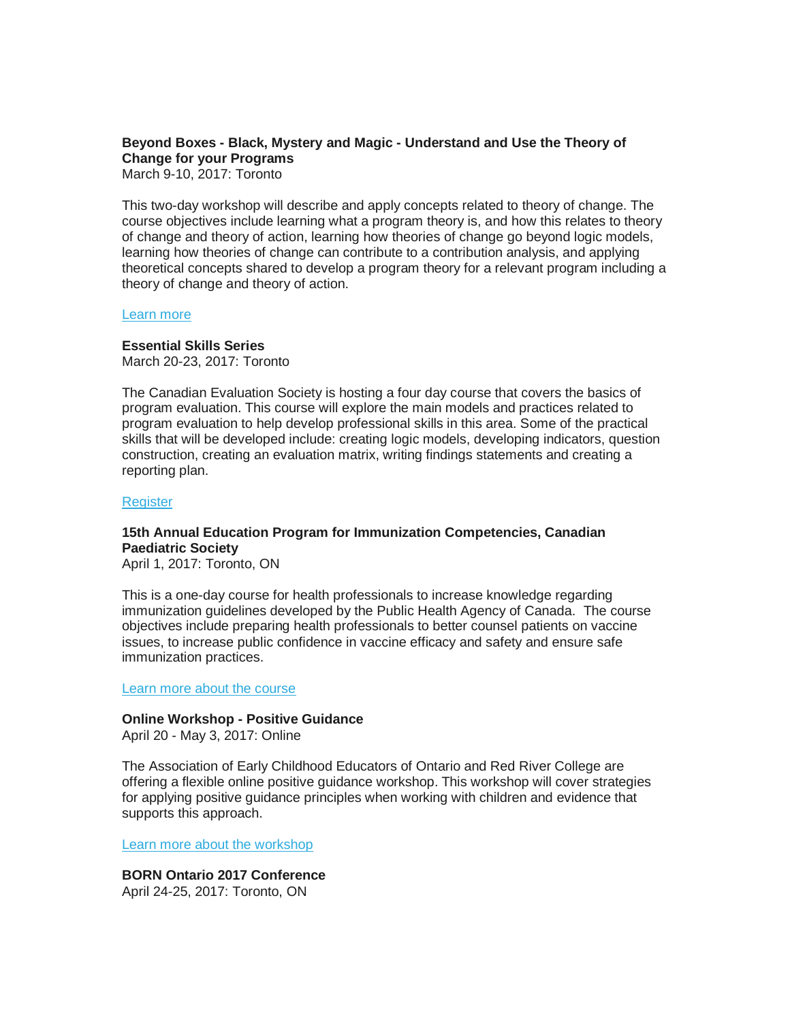# **Beyond Boxes - Black, Mystery and Magic - Understand and Use the Theory of Change for your Programs**

March 9-10, 2017: Toronto

This two-day workshop will describe and apply concepts related to theory of change. The course objectives include learning what a program theory is, and how this relates to theory of change and theory of action, learning how theories of change go beyond logic models, learning how theories of change can contribute to a contribution analysis, and applying theoretical concepts shared to develop a program theory for a relevant program including a theory of change and theory of action.

#### [Learn more](https://www.eventbrite.ca/e/beyond-boxes-black-mystery-and-magic-understand-and-use-the-theory-of-change-for-your-programs-tickets-31564692846)

# **Essential Skills Series**

March 20-23, 2017: Toronto

The Canadian Evaluation Society is hosting a four day course that covers the basics of program evaluation. This course will explore the main models and practices related to program evaluation to help develop professional skills in this area. Some of the practical skills that will be developed include: creating logic models, developing indicators, question construction, creating an evaluation matrix, writing findings statements and creating a reporting plan.

### **[Register](https://www.eventbrite.ca/e/essential-skills-series-march-2017-tickets-31565664753?aff=es2)**

# **15th Annual Education Program for Immunization Competencies, Canadian Paediatric Society**

April 1, 2017: Toronto, ON

This is a one-day course for health professionals to increase knowledge regarding immunization guidelines developed by the Public Health Agency of Canada. The course objectives include preparing health professionals to better counsel patients on vaccine issues, to increase public confidence in vaccine efficacy and safety and ensure safe immunization practices.

Learn more [about the course](http://www.cps.ca/en/epic-pfci)

#### **Online Workshop - Positive Guidance**

April 20 - May 3, 2017: Online

The Association of Early Childhood Educators of Ontario and Red River College are offering a flexible online positive guidance workshop. This workshop will cover strategies for applying positive guidance principles when working with children and evidence that supports this approach.

[Learn more about the workshop](http://www.aeceo.ca/positive_guidance?utm_campaign=aeceo_pl&utm_medium=email&utm_source=aeceo%20%20)

**BORN Ontario 2017 Conference**

April 24-25, 2017: Toronto, ON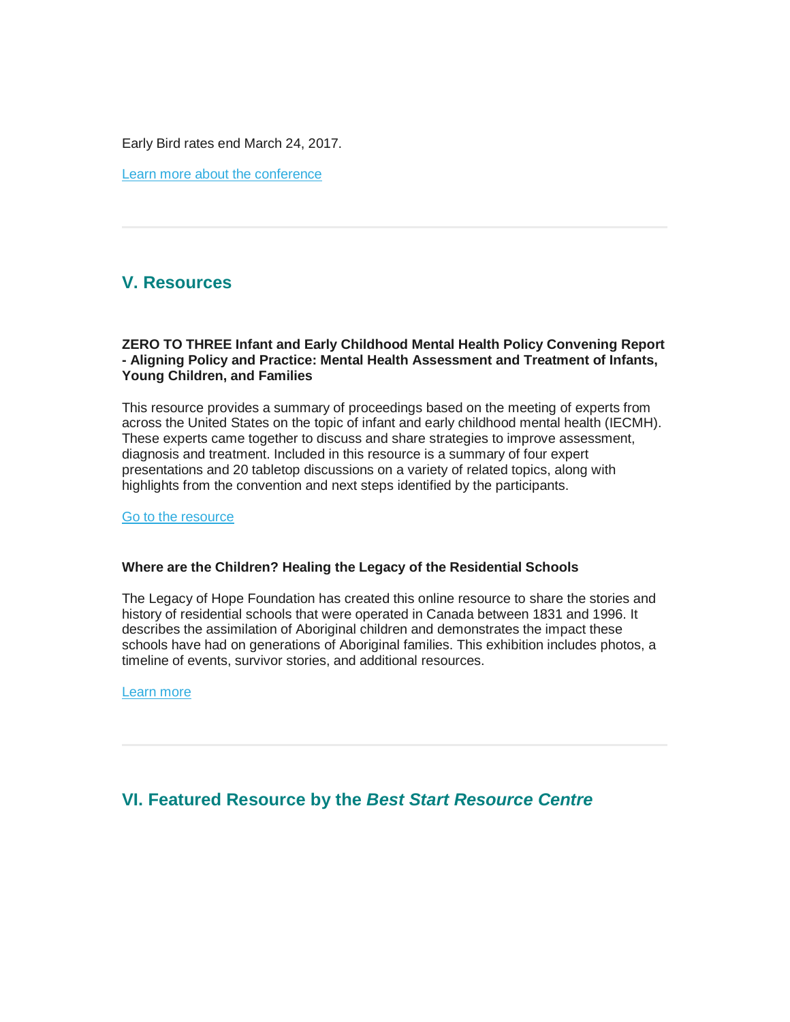Early Bird rates end March 24, 2017.

[Learn more about the conference](https://www.bornontario.ca/en/resources/born-conferences/2017-conference/)

# <span id="page-8-0"></span>**V. Resources**

### **ZERO TO THREE Infant and Early Childhood Mental Health Policy Convening Report - Aligning Policy and Practice: Mental Health Assessment and Treatment of Infants, Young Children, and Families**

This resource provides a summary of proceedings based on the meeting of experts from across the United States on the topic of infant and early childhood mental health (IECMH). These experts came together to discuss and share strategies to improve assessment, diagnosis and treatment. Included in this resource is a summary of four expert presentations and 20 tabletop discussions on a variety of related topics, along with highlights from the convention and next steps identified by the participants.

[Go to the resource](https://www.zerotothree.org/resources/1701-zero-to-three-infant-and-early-childhood-mental-health-policy-convening-report)

### **Where are the Children? Healing the Legacy of the Residential Schools**

The Legacy of Hope Foundation has created this online resource to share the stories and history of residential schools that were operated in Canada between 1831 and 1996. It describes the assimilation of Aboriginal children and demonstrates the impact these schools have had on generations of Aboriginal families. This exhibition includes photos, a timeline of events, survivor stories, and additional resources.

[Learn more](http://wherearethechildren.ca/en/exhibition/)

# <span id="page-8-1"></span>**VI. Featured Resource by the** *Best Start Resource Centre*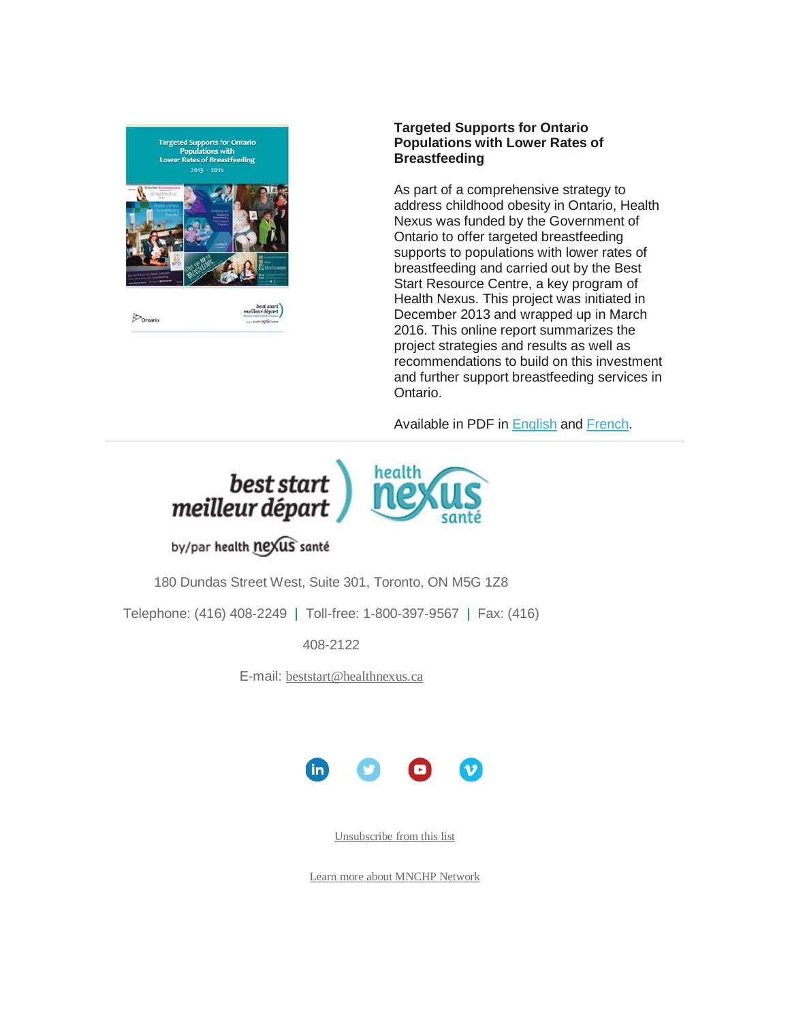

 $\mathcal{P}_{\text{Ontario}}$ 

### **Targeted Supports for Ontario Populations with Lower Rates of Breastfeeding**

As part of a comprehensive strategy to address childhood obesity in Ontario, Health Nexus was funded by the Government of Ontario to offer targeted breastfeeding supports to populations with lower rates of breastfeeding and carried out by the Best Start Resource Centre, a key program of Health Nexus. This project was initiated in December 2013 and wrapped up in March 2016. This online report summarizes the project strategies and results as well as recommendations to build on this investment and further support breastfeeding services in Ontario.

Available in PDF in [English](http://www.beststart.org/resources/breastfeeding/learningfromstories/B32_Report_Final_LR_ENG.pdf) and [French.](http://www.beststart.org/resources/breastfeeding/B32_Rapport_Finale_LR_FR.pdf)



# by/par health nexus santé

180 Dundas Street West, Suite 301, Toronto, ON M5G 1Z8

Telephone: (416) 408-2249 | Toll-free: 1-800-397-9567 | Fax: (416)

408-2122

E-mail: [beststart@healthnexus.ca](mailto:beststart@healthnexus.ca?subject=Contact%20Us)



[Unsubscribe from this list](mailto:mnchp@healthnexus.ca?subject=Unsubscribe)

[Learn more about MNCHP Network](http://lists.beststart.org/listinfo.cgi/mnchp-beststart.org)